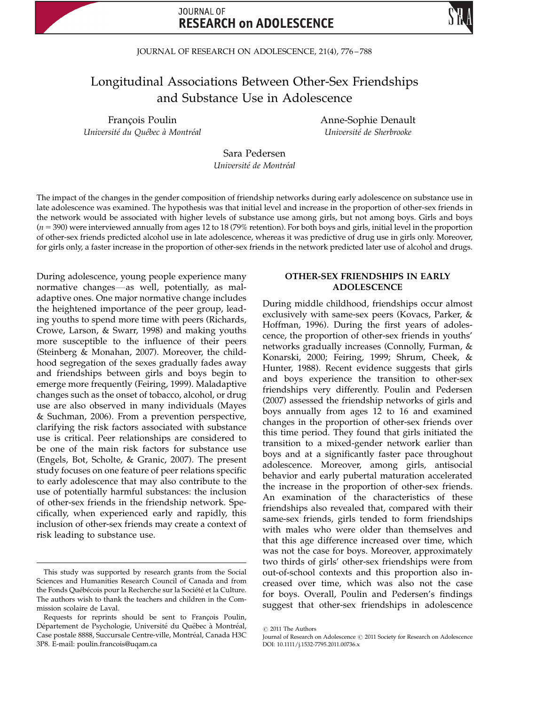



#### JOURNAL OF RESEARCH ON ADOLESCENCE, 21(4), 776 – 788

# Longitudinal Associations Between Other-Sex Friendships and Substance Use in Adolescence

François Poulin Université du Québec à Montréal Anne-Sophie Denault Université de Sherbrooke

Sara Pedersen Université de Montréal

The impact of the changes in the gender composition of friendship networks during early adolescence on substance use in late adolescence was examined. The hypothesis was that initial level and increase in the proportion of other-sex friends in the network would be associated with higher levels of substance use among girls, but not among boys. Girls and boys  $(n = 390)$  were interviewed annually from ages 12 to 18 (79% retention). For both boys and girls, initial level in the proportion of other-sex friends predicted alcohol use in late adolescence, whereas it was predictive of drug use in girls only. Moreover, for girls only, a faster increase in the proportion of other-sex friends in the network predicted later use of alcohol and drugs.

During adolescence, young people experience many normative changes-as well, potentially, as maladaptive ones. One major normative change includes the heightened importance of the peer group, leading youths to spend more time with peers (Richards, Crowe, Larson, & Swarr, 1998) and making youths more susceptible to the influence of their peers (Steinberg & Monahan, 2007). Moreover, the childhood segregation of the sexes gradually fades away and friendships between girls and boys begin to emerge more frequently (Feiring, 1999). Maladaptive changes such as the onset of tobacco, alcohol, or drug use are also observed in many individuals (Mayes & Suchman, 2006). From a prevention perspective, clarifying the risk factors associated with substance use is critical. Peer relationships are considered to be one of the main risk factors for substance use (Engels, Bot, Scholte, & Granic, 2007). The present study focuses on one feature of peer relations specific to early adolescence that may also contribute to the use of potentially harmful substances: the inclusion of other-sex friends in the friendship network. Specifically, when experienced early and rapidly, this inclusion of other-sex friends may create a context of risk leading to substance use.

# OTHER-SEX FRIENDSHIPS IN EARLY ADOLESCENCE

During middle childhood, friendships occur almost exclusively with same-sex peers (Kovacs, Parker, & Hoffman, 1996). During the first years of adolescence, the proportion of other-sex friends in youths' networks gradually increases (Connolly, Furman, & Konarski, 2000; Feiring, 1999; Shrum, Cheek, & Hunter, 1988). Recent evidence suggests that girls and boys experience the transition to other-sex friendships very differently. Poulin and Pedersen (2007) assessed the friendship networks of girls and boys annually from ages 12 to 16 and examined changes in the proportion of other-sex friends over this time period. They found that girls initiated the transition to a mixed-gender network earlier than boys and at a significantly faster pace throughout adolescence. Moreover, among girls, antisocial behavior and early pubertal maturation accelerated the increase in the proportion of other-sex friends. An examination of the characteristics of these friendships also revealed that, compared with their same-sex friends, girls tended to form friendships with males who were older than themselves and that this age difference increased over time, which was not the case for boys. Moreover, approximately two thirds of girls' other-sex friendships were from out-of-school contexts and this proportion also increased over time, which was also not the case for boys. Overall, Poulin and Pedersen's findings suggest that other-sex friendships in adolescence

This study was supported by research grants from the Social Sciences and Humanities Research Council of Canada and from the Fonds Québécois pour la Recherche sur la Société et la Culture. The authors wish to thank the teachers and children in the Commission scolaire de Laval.

Requests for reprints should be sent to François Poulin, Département de Psychologie, Université du Québec à Montréal, Case postale 8888, Succursale Centre-ville, Montréal, Canada H3C 3P8. E-mail: [poulin.francois@uqam.ca](mailto:poulin.francois@uqam.ca)

 $\odot$  2011 The Authors

Journal of Research on Adolescence  $\odot$  2011 Society for Research on Adolescence DOI: 10.1111/j.1532-7795.2011.00736.x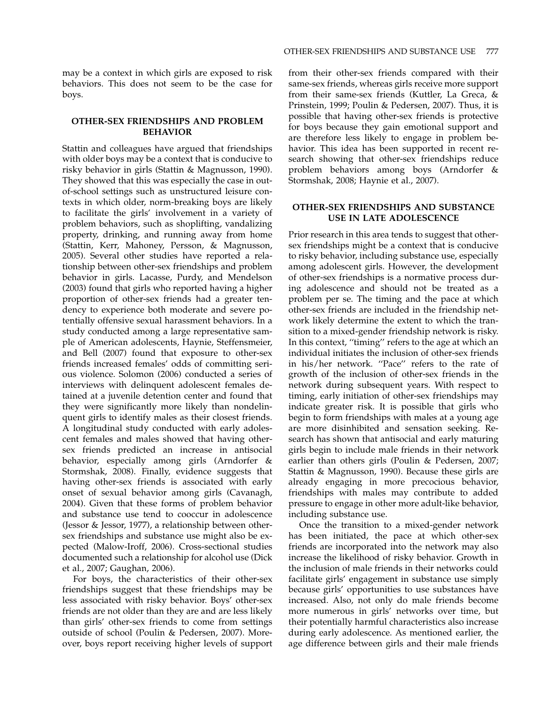may be a context in which girls are exposed to risk behaviors. This does not seem to be the case for boys.

# OTHER-SEX FRIENDSHIPS AND PROBLEM BEHAVIOR

Stattin and colleagues have argued that friendships with older boys may be a context that is conducive to risky behavior in girls (Stattin & Magnusson, 1990). They showed that this was especially the case in outof-school settings such as unstructured leisure contexts in which older, norm-breaking boys are likely to facilitate the girls' involvement in a variety of problem behaviors, such as shoplifting, vandalizing property, drinking, and running away from home (Stattin, Kerr, Mahoney, Persson, & Magnusson, 2005). Several other studies have reported a relationship between other-sex friendships and problem behavior in girls. Lacasse, Purdy, and Mendelson (2003) found that girls who reported having a higher proportion of other-sex friends had a greater tendency to experience both moderate and severe potentially offensive sexual harassment behaviors. In a study conducted among a large representative sample of American adolescents, Haynie, Steffensmeier, and Bell (2007) found that exposure to other-sex friends increased females' odds of committing serious violence. Solomon (2006) conducted a series of interviews with delinquent adolescent females detained at a juvenile detention center and found that they were significantly more likely than nondelinquent girls to identify males as their closest friends. A longitudinal study conducted with early adolescent females and males showed that having othersex friends predicted an increase in antisocial behavior, especially among girls (Arndorfer & Stormshak, 2008). Finally, evidence suggests that having other-sex friends is associated with early onset of sexual behavior among girls (Cavanagh, 2004). Given that these forms of problem behavior and substance use tend to cooccur in adolescence (Jessor & Jessor, 1977), a relationship between othersex friendships and substance use might also be expected (Malow-Iroff, 2006). Cross-sectional studies documented such a relationship for alcohol use (Dick et al., 2007; Gaughan, 2006).

For boys, the characteristics of their other-sex friendships suggest that these friendships may be less associated with risky behavior. Boys' other-sex friends are not older than they are and are less likely than girls' other-sex friends to come from settings outside of school (Poulin & Pedersen, 2007). Moreover, boys report receiving higher levels of support

from their other-sex friends compared with their same-sex friends, whereas girls receive more support from their same-sex friends (Kuttler, La Greca, & Prinstein, 1999; Poulin & Pedersen, 2007). Thus, it is possible that having other-sex friends is protective for boys because they gain emotional support and are therefore less likely to engage in problem behavior. This idea has been supported in recent research showing that other-sex friendships reduce problem behaviors among boys (Arndorfer & Stormshak, 2008; Haynie et al., 2007).

# OTHER-SEX FRIENDSHIPS AND SUBSTANCE USE IN LATE ADOLESCENCE

Prior research in this area tends to suggest that othersex friendships might be a context that is conducive to risky behavior, including substance use, especially among adolescent girls. However, the development of other-sex friendships is a normative process during adolescence and should not be treated as a problem per se. The timing and the pace at which other-sex friends are included in the friendship network likely determine the extent to which the transition to a mixed-gender friendship network is risky. In this context, ''timing'' refers to the age at which an individual initiates the inclusion of other-sex friends in his/her network. ''Pace'' refers to the rate of growth of the inclusion of other-sex friends in the network during subsequent years. With respect to timing, early initiation of other-sex friendships may indicate greater risk. It is possible that girls who begin to form friendships with males at a young age are more disinhibited and sensation seeking. Research has shown that antisocial and early maturing girls begin to include male friends in their network earlier than others girls (Poulin & Pedersen, 2007; Stattin & Magnusson, 1990). Because these girls are already engaging in more precocious behavior, friendships with males may contribute to added pressure to engage in other more adult-like behavior, including substance use.

Once the transition to a mixed-gender network has been initiated, the pace at which other-sex friends are incorporated into the network may also increase the likelihood of risky behavior. Growth in the inclusion of male friends in their networks could facilitate girls' engagement in substance use simply because girls' opportunities to use substances have increased. Also, not only do male friends become more numerous in girls' networks over time, but their potentially harmful characteristics also increase during early adolescence. As mentioned earlier, the age difference between girls and their male friends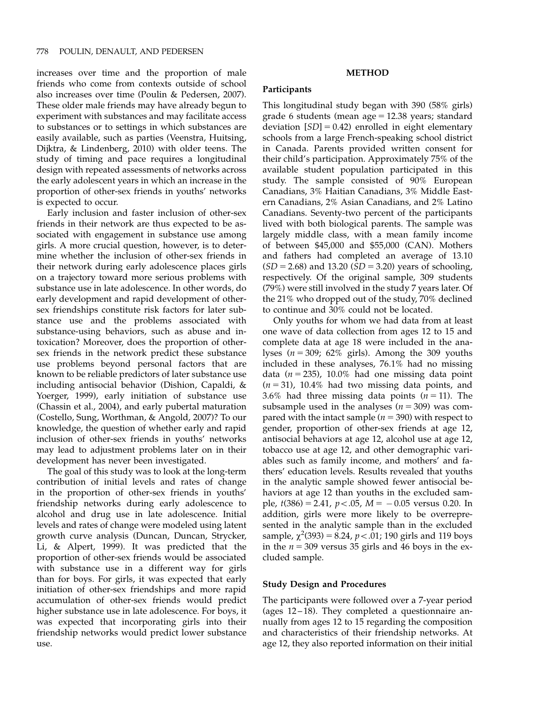increases over time and the proportion of male friends who come from contexts outside of school also increases over time (Poulin & Pedersen, 2007). These older male friends may have already begun to experiment with substances and may facilitate access to substances or to settings in which substances are easily available, such as parties (Veenstra, Huitsing, Dijktra, & Lindenberg, 2010) with older teens. The study of timing and pace requires a longitudinal design with repeated assessments of networks across the early adolescent years in which an increase in the proportion of other-sex friends in youths' networks is expected to occur.

Early inclusion and faster inclusion of other-sex friends in their network are thus expected to be associated with engagement in substance use among girls. A more crucial question, however, is to determine whether the inclusion of other-sex friends in their network during early adolescence places girls on a trajectory toward more serious problems with substance use in late adolescence. In other words, do early development and rapid development of othersex friendships constitute risk factors for later substance use and the problems associated with substance-using behaviors, such as abuse and intoxication? Moreover, does the proportion of othersex friends in the network predict these substance use problems beyond personal factors that are known to be reliable predictors of later substance use including antisocial behavior (Dishion, Capaldi, & Yoerger, 1999), early initiation of substance use (Chassin et al., 2004), and early pubertal maturation (Costello, Sung, Worthman, & Angold, 2007)? To our knowledge, the question of whether early and rapid inclusion of other-sex friends in youths' networks may lead to adjustment problems later on in their development has never been investigated.

The goal of this study was to look at the long-term contribution of initial levels and rates of change in the proportion of other-sex friends in youths' friendship networks during early adolescence to alcohol and drug use in late adolescence. Initial levels and rates of change were modeled using latent growth curve analysis (Duncan, Duncan, Strycker, Li, & Alpert, 1999). It was predicted that the proportion of other-sex friends would be associated with substance use in a different way for girls than for boys. For girls, it was expected that early initiation of other-sex friendships and more rapid accumulation of other-sex friends would predict higher substance use in late adolescence. For boys, it was expected that incorporating girls into their friendship networks would predict lower substance use.

# METHOD

#### **Participants**

This longitudinal study began with 390 (58% girls) grade 6 students (mean  $age = 12.38$  years; standard deviation  $[SD] = 0.42$ ) enrolled in eight elementary schools from a large French-speaking school district in Canada. Parents provided written consent for their child's participation. Approximately 75% of the available student population participated in this study. The sample consisted of 90% European Canadians, 3% Haitian Canadians, 3% Middle Eastern Canadians, 2% Asian Canadians, and 2% Latino Canadians. Seventy-two percent of the participants lived with both biological parents. The sample was largely middle class, with a mean family income of between \$45,000 and \$55,000 (CAN). Mothers and fathers had completed an average of 13.10  $(SD = 2.68)$  and 13.20  $(SD = 3.20)$  years of schooling, respectively. Of the original sample, 309 students (79%) were still involved in the study 7 years later. Of the 21% who dropped out of the study, 70% declined to continue and 30% could not be located.

Only youths for whom we had data from at least one wave of data collection from ages 12 to 15 and complete data at age 18 were included in the analyses ( $n = 309$ ; 62% girls). Among the 309 youths included in these analyses, 76.1% had no missing data ( $n = 235$ ), 10.0% had one missing data point  $(n = 31)$ , 10.4% had two missing data points, and 3.6% had three missing data points  $(n = 11)$ . The subsample used in the analyses ( $n = 309$ ) was compared with the intact sample ( $n = 390$ ) with respect to gender, proportion of other-sex friends at age 12, antisocial behaviors at age 12, alcohol use at age 12, tobacco use at age 12, and other demographic variables such as family income, and mothers' and fathers' education levels. Results revealed that youths in the analytic sample showed fewer antisocial behaviors at age 12 than youths in the excluded sample,  $t(386) = 2.41$ ,  $p < .05$ ,  $M = -0.05$  versus 0.20. In addition, girls were more likely to be overrepresented in the analytic sample than in the excluded sample,  $\chi^2(393) = 8.24$ ,  $p < 0.01$ ; 190 girls and 119 boys in the  $n = 309$  versus 35 girls and 46 boys in the excluded sample.

### Study Design and Procedures

The participants were followed over a 7-year period (ages  $12-18$ ). They completed a questionnaire annually from ages 12 to 15 regarding the composition and characteristics of their friendship networks. At age 12, they also reported information on their initial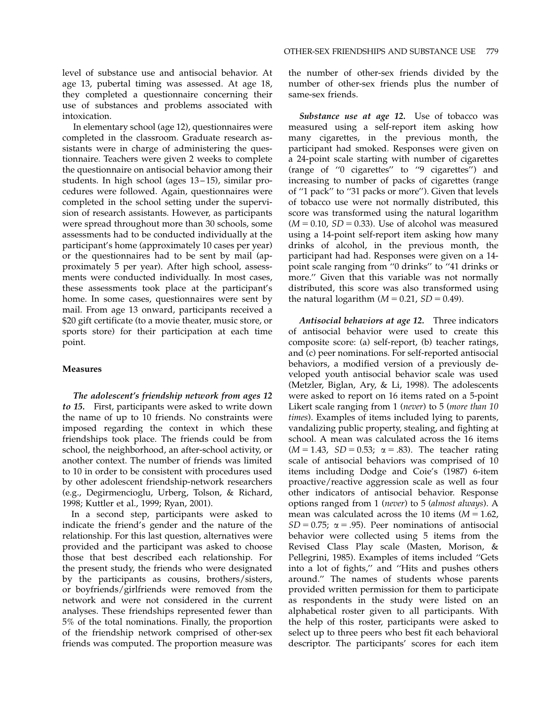level of substance use and antisocial behavior. At age 13, pubertal timing was assessed. At age 18, they completed a questionnaire concerning their use of substances and problems associated with intoxication.

In elementary school (age 12), questionnaires were completed in the classroom. Graduate research assistants were in charge of administering the questionnaire. Teachers were given 2 weeks to complete the questionnaire on antisocial behavior among their students. In high school (ages 13 – 15), similar procedures were followed. Again, questionnaires were completed in the school setting under the supervision of research assistants. However, as participants were spread throughout more than 30 schools, some assessments had to be conducted individually at the participant's home (approximately 10 cases per year) or the questionnaires had to be sent by mail (approximately 5 per year). After high school, assessments were conducted individually. In most cases, these assessments took place at the participant's home. In some cases, questionnaires were sent by mail. From age 13 onward, participants received a \$20 gift certificate (to a movie theater, music store, or sports store) for their participation at each time point.

### Measures

The adolescent's friendship network from ages 12 to 15. First, participants were asked to write down the name of up to 10 friends. No constraints were imposed regarding the context in which these friendships took place. The friends could be from school, the neighborhood, an after-school activity, or another context. The number of friends was limited to 10 in order to be consistent with procedures used by other adolescent friendship-network researchers (e.g., Degirmencioglu, Urberg, Tolson, & Richard, 1998; Kuttler et al., 1999; Ryan, 2001).

In a second step, participants were asked to indicate the friend's gender and the nature of the relationship. For this last question, alternatives were provided and the participant was asked to choose those that best described each relationship. For the present study, the friends who were designated by the participants as cousins, brothers/sisters, or boyfriends/girlfriends were removed from the network and were not considered in the current analyses. These friendships represented fewer than 5% of the total nominations. Finally, the proportion of the friendship network comprised of other-sex friends was computed. The proportion measure was the number of other-sex friends divided by the number of other-sex friends plus the number of same-sex friends.

Substance use at age 12. Use of tobacco was measured using a self-report item asking how many cigarettes, in the previous month, the participant had smoked. Responses were given on a 24-point scale starting with number of cigarettes (range of ''0 cigarettes'' to ''9 cigarettes'') and increasing to number of packs of cigarettes (range of ''1 pack'' to ''31 packs or more''). Given that levels of tobacco use were not normally distributed, this score was transformed using the natural logarithm  $(M = 0.10, SD = 0.33)$ . Use of alcohol was measured using a 14-point self-report item asking how many drinks of alcohol, in the previous month, the participant had had. Responses were given on a 14 point scale ranging from ''0 drinks'' to ''41 drinks or more.'' Given that this variable was not normally distributed, this score was also transformed using the natural logarithm  $(M = 0.21, SD = 0.49)$ .

Antisocial behaviors at age 12. Three indicators of antisocial behavior were used to create this composite score: (a) self-report, (b) teacher ratings, and (c) peer nominations. For self-reported antisocial behaviors, a modified version of a previously developed youth antisocial behavior scale was used (Metzler, Biglan, Ary, & Li, 1998). The adolescents were asked to report on 16 items rated on a 5-point Likert scale ranging from 1 (never) to 5 (more than 10 times). Examples of items included lying to parents, vandalizing public property, stealing, and fighting at school. A mean was calculated across the 16 items  $(M = 1.43, SD = 0.53; \alpha = .83)$ . The teacher rating scale of antisocial behaviors was comprised of 10 items including Dodge and Coie's (1987) 6-item proactive/reactive aggression scale as well as four other indicators of antisocial behavior. Response options ranged from 1 (never) to 5 (almost always). A mean was calculated across the 10 items  $(M = 1.62)$ ,  $SD = 0.75$ ;  $\alpha = .95$ ). Peer nominations of antisocial behavior were collected using 5 items from the Revised Class Play scale (Masten, Morison, & Pellegrini, 1985). Examples of items included ''Gets into a lot of fights,'' and ''Hits and pushes others around.'' The names of students whose parents provided written permission for them to participate as respondents in the study were listed on an alphabetical roster given to all participants. With the help of this roster, participants were asked to select up to three peers who best fit each behavioral descriptor. The participants' scores for each item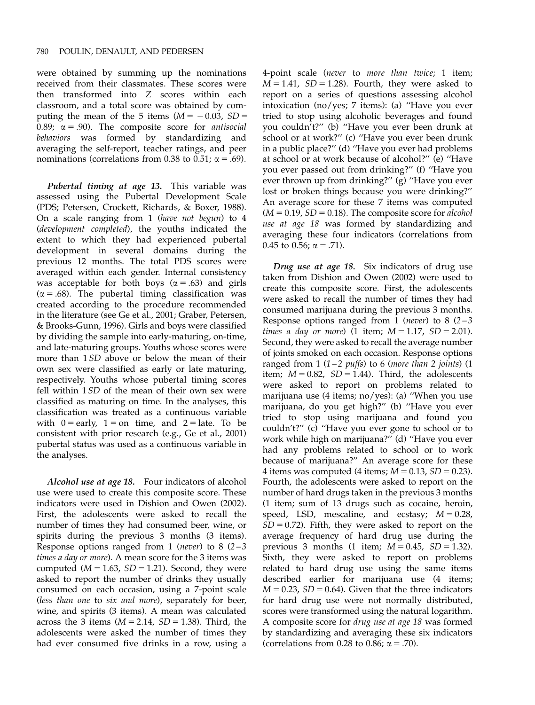were obtained by summing up the nominations received from their classmates. These scores were then transformed into Z scores within each classroom, and a total score was obtained by computing the mean of the 5 items  $(M = -0.03, SD =$ 0.89;  $\alpha$  = .90). The composite score for *antisocial* behaviors was formed by standardizing and averaging the self-report, teacher ratings, and peer nominations (correlations from 0.38 to 0.51;  $\alpha = .69$ ).

Pubertal timing at age 13. This variable was assessed using the Pubertal Development Scale (PDS; Petersen, Crockett, Richards, & Boxer, 1988). On a scale ranging from 1 (have not begun) to 4 (development completed), the youths indicated the extent to which they had experienced pubertal development in several domains during the previous 12 months. The total PDS scores were averaged within each gender. Internal consistency was acceptable for both boys  $(\alpha = .63)$  and girls  $(\alpha = .68)$ . The pubertal timing classification was created according to the procedure recommended in the literature (see Ge et al., 2001; Graber, Petersen, & Brooks-Gunn, 1996). Girls and boys were classified by dividing the sample into early-maturing, on-time, and late-maturing groups. Youths whose scores were more than 1 SD above or below the mean of their own sex were classified as early or late maturing, respectively. Youths whose pubertal timing scores fell within 1 SD of the mean of their own sex were classified as maturing on time. In the analyses, this classification was treated as a continuous variable with  $0 =$  early,  $1 =$  on time, and  $2 =$  late. To be consistent with prior research (e.g., Ge et al., 2001) pubertal status was used as a continuous variable in the analyses.

Alcohol use at age 18. Four indicators of alcohol use were used to create this composite score. These indicators were used in Dishion and Owen (2002). First, the adolescents were asked to recall the number of times they had consumed beer, wine, or spirits during the previous 3 months (3 items). Response options ranged from 1 (*never*) to 8  $(2-3)$ times a day or more). A mean score for the 3 items was computed  $(M = 1.63, SD = 1.21)$ . Second, they were asked to report the number of drinks they usually consumed on each occasion, using a 7-point scale (less than one to six and more), separately for beer, wine, and spirits (3 items). A mean was calculated across the 3 items  $(M = 2.14, SD = 1.38)$ . Third, the adolescents were asked the number of times they had ever consumed five drinks in a row, using a

4-point scale (never to more than twice; 1 item;  $M = 1.41$ ,  $SD = 1.28$ ). Fourth, they were asked to report on a series of questions assessing alcohol intoxication (no/yes; 7 items): (a) ''Have you ever tried to stop using alcoholic beverages and found you couldn't?'' (b) ''Have you ever been drunk at school or at work?'' (c) ''Have you ever been drunk in a public place?'' (d) ''Have you ever had problems at school or at work because of alcohol?'' (e) ''Have you ever passed out from drinking?'' (f) ''Have you ever thrown up from drinking?'' (g) ''Have you ever lost or broken things because you were drinking?'' An average score for these 7 items was computed  $(M = 0.19, SD = 0.18)$ . The composite score for alcohol use at age 18 was formed by standardizing and averaging these four indicators (correlations from 0.45 to 0.56;  $\alpha = .71$ ).

Drug use at age 18. Six indicators of drug use taken from Dishion and Owen (2002) were used to create this composite score. First, the adolescents were asked to recall the number of times they had consumed marijuana during the previous 3 months. Response options ranged from 1 (*never*) to 8  $(2-3)$ times a day or more) (1 item;  $M = 1.17$ ,  $SD = 2.01$ ). Second, they were asked to recall the average number of joints smoked on each occasion. Response options ranged from 1  $(1-2 \text{ puffs})$  to 6 (more than 2 joints) (1 item;  $M = 0.82$ ,  $SD = 1.44$ ). Third, the adolescents were asked to report on problems related to marijuana use (4 items; no/yes): (a) ''When you use marijuana, do you get high?'' (b) ''Have you ever tried to stop using marijuana and found you couldn't?'' (c) ''Have you ever gone to school or to work while high on marijuana?'' (d) ''Have you ever had any problems related to school or to work because of marijuana?'' An average score for these 4 items was computed (4 items;  $M = 0.13$ ,  $SD = 0.23$ ). Fourth, the adolescents were asked to report on the number of hard drugs taken in the previous 3 months (1 item; sum of 13 drugs such as cocaine, heroin, speed, LSD, mescaline, and ecstasy;  $M = 0.28$ ,  $SD = 0.72$ ). Fifth, they were asked to report on the average frequency of hard drug use during the previous 3 months (1 item;  $M = 0.45$ ,  $SD = 1.32$ ). Sixth, they were asked to report on problems related to hard drug use using the same items described earlier for marijuana use (4 items;  $M = 0.23$ ,  $SD = 0.64$ ). Given that the three indicators for hard drug use were not normally distributed, scores were transformed using the natural logarithm. A composite score for drug use at age 18 was formed by standardizing and averaging these six indicators (correlations from 0.28 to 0.86;  $\alpha = .70$ ).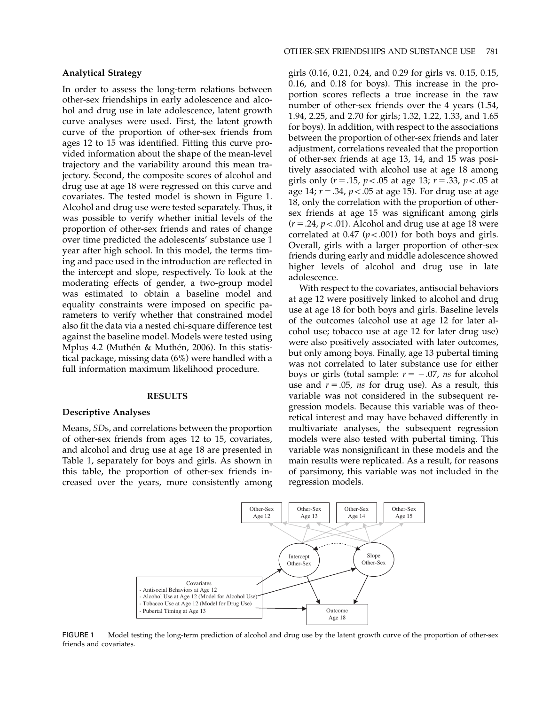## Analytical Strategy

In order to assess the long-term relations between other-sex friendships in early adolescence and alcohol and drug use in late adolescence, latent growth curve analyses were used. First, the latent growth curve of the proportion of other-sex friends from ages 12 to 15 was identified. Fitting this curve provided information about the shape of the mean-level trajectory and the variability around this mean trajectory. Second, the composite scores of alcohol and drug use at age 18 were regressed on this curve and covariates. The tested model is shown in Figure 1. Alcohol and drug use were tested separately. Thus, it was possible to verify whether initial levels of the proportion of other-sex friends and rates of change over time predicted the adolescents' substance use 1 year after high school. In this model, the terms timing and pace used in the introduction are reflected in the intercept and slope, respectively. To look at the moderating effects of gender, a two-group model was estimated to obtain a baseline model and equality constraints were imposed on specific parameters to verify whether that constrained model also fit the data via a nested chi-square difference test against the baseline model. Models were tested using Mplus 4.2 (Muthén & Muthén, 2006). In this statistical package, missing data (6%) were handled with a full information maximum likelihood procedure.

#### RESULTS

#### Descriptive Analyses

Means, SDs, and correlations between the proportion of other-sex friends from ages 12 to 15, covariates, and alcohol and drug use at age 18 are presented in Table 1, separately for boys and girls. As shown in this table, the proportion of other-sex friends increased over the years, more consistently among

girls (0.16, 0.21, 0.24, and 0.29 for girls vs. 0.15, 0.15, 0.16, and 0.18 for boys). This increase in the proportion scores reflects a true increase in the raw number of other-sex friends over the 4 years (1.54, 1.94, 2.25, and 2.70 for girls; 1.32, 1.22, 1.33, and 1.65 for boys). In addition, with respect to the associations between the proportion of other-sex friends and later adjustment, correlations revealed that the proportion of other-sex friends at age 13, 14, and 15 was positively associated with alcohol use at age 18 among girls only  $(r = .15, p < .05$  at age 13;  $r = .33, p < .05$  at age 14;  $r = 0.34$ ,  $p < 0.05$  at age 15). For drug use at age 18, only the correlation with the proportion of othersex friends at age 15 was significant among girls  $(r = .24, p < .01)$ . Alcohol and drug use at age 18 were correlated at 0.47 ( $p < .001$ ) for both boys and girls. Overall, girls with a larger proportion of other-sex friends during early and middle adolescence showed higher levels of alcohol and drug use in late adolescence.

With respect to the covariates, antisocial behaviors at age 12 were positively linked to alcohol and drug use at age 18 for both boys and girls. Baseline levels of the outcomes (alcohol use at age 12 for later alcohol use; tobacco use at age 12 for later drug use) were also positively associated with later outcomes, but only among boys. Finally, age 13 pubertal timing was not correlated to later substance use for either boys or girls (total sample:  $r = -.07$ , ns for alcohol use and  $r = .05$ , ns for drug use). As a result, this variable was not considered in the subsequent regression models. Because this variable was of theoretical interest and may have behaved differently in multivariate analyses, the subsequent regression models were also tested with pubertal timing. This variable was nonsignificant in these models and the main results were replicated. As a result, for reasons of parsimony, this variable was not included in the regression models.



FIGURE 1 Model testing the long-term prediction of alcohol and drug use by the latent growth curve of the proportion of other-sex friends and covariates.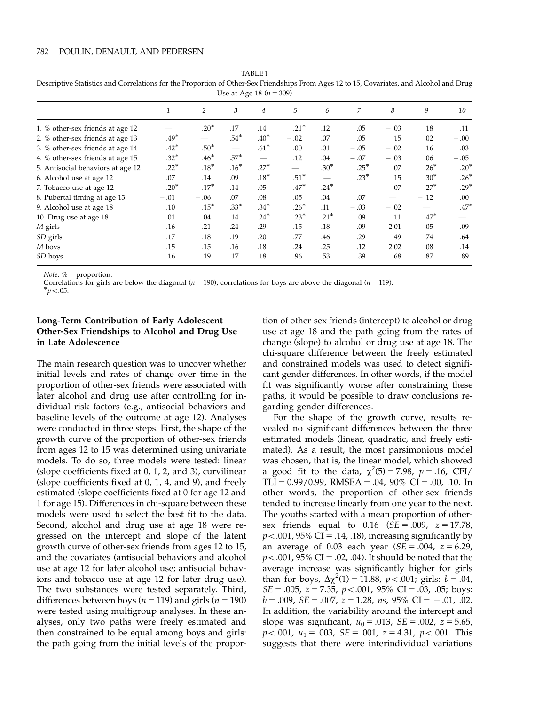|                                   |        |                          |                   | Use at Age 18 $(n = 309)$ |                          |                          |                          |        |        |        |
|-----------------------------------|--------|--------------------------|-------------------|---------------------------|--------------------------|--------------------------|--------------------------|--------|--------|--------|
|                                   | 1      | 2                        | 3                 | 4                         | 5                        | 6                        | 7                        | 8      | 9      | 10     |
| 1. % other-sex friends at age 12  |        | $.20*$                   | .17               | .14                       | $.21*$                   | .12                      | .05                      | $-.03$ | .18    | .11    |
| 2. % other-sex friends at age 13  | .49*   | $\overline{\phantom{m}}$ | $.54*$            | $.40*$                    | $-.02$                   | .07                      | .05                      | .15    | .02    | $-.00$ |
| 3. % other-sex friends at age 14  | $.42*$ | $.50*$                   | $\hspace{0.05cm}$ | $.61*$                    | .00                      | .01                      | $-.05$                   | $-.02$ | .16    | .03    |
| 4. % other-sex friends at age 15  | $.32*$ | $.46*$                   | $.57*$            | $\qquad \qquad$           | .12                      | .04                      | $-.07$                   | $-.03$ | .06    | $-.05$ |
| 5. Antisocial behaviors at age 12 | $.22*$ | $.18*$                   | $.16*$            | $.27*$                    | $\overline{\phantom{0}}$ | $.30*$                   | $.25*$                   | .07    | $.26*$ | $.20*$ |
| 6. Alcohol use at age 12          | .07    | .14                      | .09               | $.18*$                    | $.51*$                   | $\overline{\phantom{0}}$ | $.23*$                   | .15    | $.30*$ | $.26*$ |
| 7. Tobacco use at age 12          | $.20*$ | $.17*$                   | .14               | .05                       | $.47*$                   | $.24*$                   | $\overline{\phantom{0}}$ | $-.07$ | $.27*$ | $.29*$ |
| 8. Pubertal timing at age 13      | $-.01$ | $-.06$                   | .07               | .08                       | .05                      | .04                      | .07                      |        | $-.12$ | .00    |
| 9. Alcohol use at age 18          | .10    | $.15*$                   | $.33*$            | $.34*$                    | $.26*$                   | .11                      | $-.03$                   | $-.02$ |        | $.47*$ |
| 10. Drug use at age 18            | .01    | .04                      | .14               | $.24*$                    | $.23*$                   | $.21*$                   | .09                      | .11    | $.47*$ |        |
| M girls                           | .16    | .21                      | .24               | .29                       | $-.15$                   | .18                      | .09                      | 2.01   | $-.05$ | $-.09$ |
| SD girls                          | .17    | .18                      | .19               | .20                       | .77                      | .46                      | .29                      | .49    | .74    | .64    |
| M boys                            | .15    | .15                      | .16               | .18                       | .24                      | .25                      | .12                      | 2.02   | .08    | .14    |
| SD boys                           | .16    | .19                      | .17               | .18                       | .96                      | .53                      | .39                      | .68    | .87    | .89    |
|                                   |        |                          |                   |                           |                          |                          |                          |        |        |        |

TABLE 1 Descriptive Statistics and Correlations for the Proportion of Other-Sex Friendships From Ages 12 to 15, Covariates, and Alcohol and Drug Use at Age 18 ( $n = 309$ )

Note.  $%$  = proportion.

Correlations for girls are below the diagonal ( $n = 190$ ); correlations for boys are above the diagonal ( $n = 119$ ).

 $\degree{p}$  < .05.

# Long-Term Contribution of Early Adolescent Other-Sex Friendships to Alcohol and Drug Use in Late Adolescence

The main research question was to uncover whether initial levels and rates of change over time in the proportion of other-sex friends were associated with later alcohol and drug use after controlling for individual risk factors (e.g., antisocial behaviors and baseline levels of the outcome at age 12). Analyses were conducted in three steps. First, the shape of the growth curve of the proportion of other-sex friends from ages 12 to 15 was determined using univariate models. To do so, three models were tested: linear (slope coefficients fixed at 0, 1, 2, and 3), curvilinear (slope coefficients fixed at 0, 1, 4, and 9), and freely estimated (slope coefficients fixed at 0 for age 12 and 1 for age 15). Differences in chi-square between these models were used to select the best fit to the data. Second, alcohol and drug use at age 18 were regressed on the intercept and slope of the latent growth curve of other-sex friends from ages 12 to 15, and the covariates (antisocial behaviors and alcohol use at age 12 for later alcohol use; antisocial behaviors and tobacco use at age 12 for later drug use). The two substances were tested separately. Third, differences between boys ( $n = 119$ ) and girls ( $n = 190$ ) were tested using multigroup analyses. In these analyses, only two paths were freely estimated and then constrained to be equal among boys and girls: the path going from the initial levels of the proportion of other-sex friends (intercept) to alcohol or drug use at age 18 and the path going from the rates of change (slope) to alcohol or drug use at age 18. The chi-square difference between the freely estimated and constrained models was used to detect significant gender differences. In other words, if the model fit was significantly worse after constraining these paths, it would be possible to draw conclusions regarding gender differences.

For the shape of the growth curve, results revealed no significant differences between the three estimated models (linear, quadratic, and freely estimated). As a result, the most parsimonious model was chosen, that is, the linear model, which showed a good fit to the data,  $\chi^2(5) = 7.98$ ,  $p = .16$ , CFI/  $TLI = 0.99/0.99$ , RMSEA = .04, 90% CI = .00, .10. In other words, the proportion of other-sex friends tended to increase linearly from one year to the next. The youths started with a mean proportion of othersex friends equal to  $0.16$  (*SE* = .009,  $z = 17.78$ ,  $p<.001$ , 95% CI = .14, .18), increasing significantly by an average of 0.03 each year  $(SE = .004, z = 6.29,$  $p < .001$ , 95% CI = .02, .04). It should be noted that the average increase was significantly higher for girls than for boys,  $\Delta \chi^2(1) = 11.88$ ,  $p < .001$ ; girls:  $b = .04$ ,  $SE = .005$ ,  $z = 7.35$ ,  $p < .001$ ,  $95\%$  CI = .03, .05; boys:  $b = .009$ ,  $SE = .007$ ,  $z = 1.28$ ,  $ns$ ,  $95\%$  CI =  $-.01$ , .02. In addition, the variability around the intercept and slope was significant,  $u_0 = .013$ ,  $SE = .002$ ,  $z = 5.65$ ,  $p < .001$ ,  $u_1 = .003$ ,  $SE = .001$ ,  $z = 4.31$ ,  $p < .001$ . This suggests that there were interindividual variations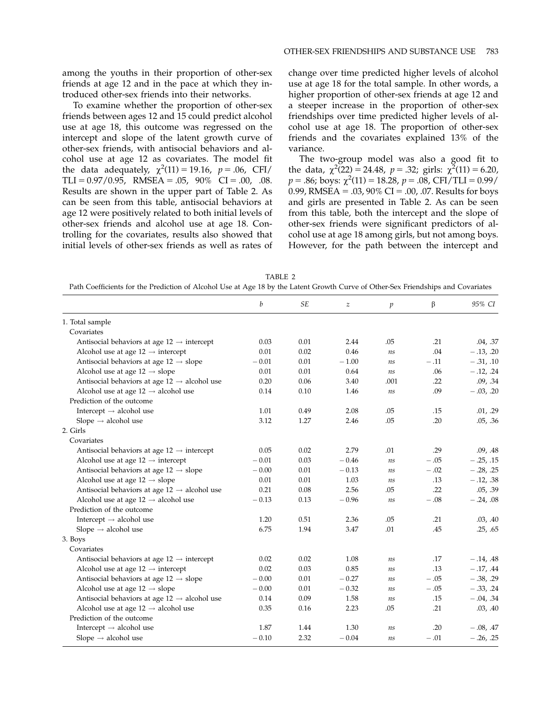among the youths in their proportion of other-sex friends at age 12 and in the pace at which they introduced other-sex friends into their networks.

To examine whether the proportion of other-sex friends between ages 12 and 15 could predict alcohol use at age 18, this outcome was regressed on the intercept and slope of the latent growth curve of other-sex friends, with antisocial behaviors and alcohol use at age 12 as covariates. The model fit the data adequately,  $\chi^2(11) = 19.16$ ,  $p = .06$ , CFI/  $TLI = 0.97/0.95$ , RMSEA = .05, 90% CI = .00, .08. Results are shown in the upper part of Table 2. As can be seen from this table, antisocial behaviors at age 12 were positively related to both initial levels of other-sex friends and alcohol use at age 18. Controlling for the covariates, results also showed that initial levels of other-sex friends as well as rates of change over time predicted higher levels of alcohol use at age 18 for the total sample. In other words, a higher proportion of other-sex friends at age 12 and a steeper increase in the proportion of other-sex friendships over time predicted higher levels of alcohol use at age 18. The proportion of other-sex friends and the covariates explained 13% of the variance.

The two-group model was also a good fit to the data,  $\chi^2(22) = 24.48$ ,  $p = .32$ ; girls:  $\chi^2(11) = 6.20$ ,  $p = .86$ ; boys:  $\chi^2(11) = 18.28$ ,  $p = .08$ , CFI/TLI = 0.99/ 0.99, RMSEA =  $.03$ , 90% CI =  $.00$ , .07. Results for boys and girls are presented in Table 2. As can be seen from this table, both the intercept and the slope of other-sex friends were significant predictors of alcohol use at age 18 among girls, but not among boys. However, for the path between the intercept and

TABLE 2 Path Coefficients for the Prediction of Alcohol Use at Age 18 by the Latent Growth Curve of Other-Sex Friendships and Covariates

|                                                          | $\boldsymbol{b}$ | <b>SE</b> | $\boldsymbol{z}$ | $\boldsymbol{p}$ | $\beta$ | 95% CI      |
|----------------------------------------------------------|------------------|-----------|------------------|------------------|---------|-------------|
| 1. Total sample                                          |                  |           |                  |                  |         |             |
| Covariates                                               |                  |           |                  |                  |         |             |
| Antisocial behaviors at age $12 \rightarrow$ intercept   | 0.03             | 0.01      | 2.44             | .05              | .21     | .04, .37    |
| Alcohol use at age $12 \rightarrow$ intercept            | 0.01             | 0.02      | 0.46             | ns               | .04     | $-.13, .20$ |
| Antisocial behaviors at age $12 \rightarrow slope$       | $-0.01$          | 0.01      | $-1.00$          | ns               | $-.11$  | $-.31, .10$ |
| Alcohol use at age $12 \rightarrow$ slope                | 0.01             | 0.01      | 0.64             | $\it ns$         | .06     | $-.12, .24$ |
| Antisocial behaviors at age $12 \rightarrow$ alcohol use | 0.20             | 0.06      | 3.40             | .001             | .22     | .09, .34    |
| Alcohol use at age $12 \rightarrow$ alcohol use          | 0.14             | 0.10      | 1.46             | ns               | .09     | $-.03, .20$ |
| Prediction of the outcome                                |                  |           |                  |                  |         |             |
| Intercept $\rightarrow$ alcohol use                      | 1.01             | 0.49      | 2.08             | .05              | .15     | .01, .29    |
| Slope $\rightarrow$ alcohol use                          | 3.12             | 1.27      | 2.46             | .05              | .20     | .05, .36    |
| 2. Girls                                                 |                  |           |                  |                  |         |             |
| Covariates                                               |                  |           |                  |                  |         |             |
| Antisocial behaviors at age $12 \rightarrow$ intercept   | 0.05             | 0.02      | 2.79             | .01              | .29     | .09, .48    |
| Alcohol use at age $12 \rightarrow$ intercept            | $-0.01$          | 0.03      | $-0.46$          | ns               | $-.05$  | $-.25, .15$ |
| Antisocial behaviors at age $12 \rightarrow slope$       | $-0.00$          | 0.01      | $-0.13$          | ns               | $-.02$  | $-.28, .25$ |
| Alcohol use at age $12 \rightarrow$ slope                | 0.01             | 0.01      | 1.03             | ns               | .13     | $-.12, .38$ |
| Antisocial behaviors at age $12 \rightarrow$ alcohol use | 0.21             | 0.08      | 2.56             | .05              | .22     | .05, .39    |
| Alcohol use at age $12 \rightarrow$ alcohol use          | $-0.13$          | 0.13      | $-0.96$          | ns               | $-.08$  | $-.24, .08$ |
| Prediction of the outcome                                |                  |           |                  |                  |         |             |
| Intercept $\rightarrow$ alcohol use                      | 1.20             | 0.51      | 2.36             | .05              | .21     | .03, .40    |
| Slope $\rightarrow$ alcohol use                          | 6.75             | 1.94      | 3.47             | .01              | .45     | .25, .65    |
| 3. Boys                                                  |                  |           |                  |                  |         |             |
| Covariates                                               |                  |           |                  |                  |         |             |
| Antisocial behaviors at age $12 \rightarrow$ intercept   | 0.02             | 0.02      | 1.08             | ns               | .17     | $-.14, .48$ |
| Alcohol use at age $12 \rightarrow$ intercept            | 0.02             | 0.03      | 0.85             | ns               | .13     | $-.17, .44$ |
| Antisocial behaviors at age $12 \rightarrow slope$       | $-0.00$          | 0.01      | $-0.27$          | ns               | $-.05$  | $-.38, .29$ |
| Alcohol use at age $12 \rightarrow$ slope                | $-0.00$          | 0.01      | $-0.32$          | ns               | $-.05$  | $-.33, .24$ |
| Antisocial behaviors at age $12 \rightarrow$ alcohol use | 0.14             | 0.09      | 1.58             | ns               | .15     | $-.04, .34$ |
| Alcohol use at age $12 \rightarrow$ alcohol use          | 0.35             | 0.16      | 2.23             | .05              | .21     | .03, .40    |
| Prediction of the outcome                                |                  |           |                  |                  |         |             |
| Intercept $\rightarrow$ alcohol use                      | 1.87             | 1.44      | 1.30             | ns               | .20     | $-.08, .47$ |
| Slope $\rightarrow$ alcohol use                          | $-0.10$          | 2.32      | $-0.04$          | ns               | $-.01$  | $-.26, .25$ |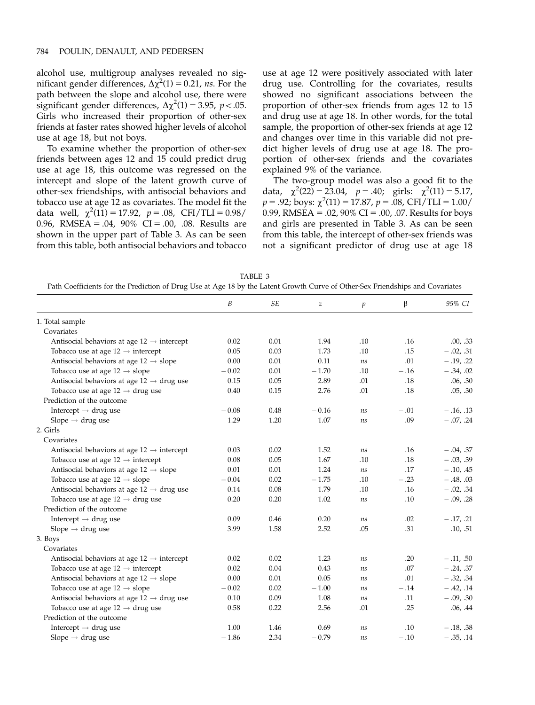alcohol use, multigroup analyses revealed no significant gender differences,  $\Delta \chi^2(1) = 0.21$ , ns. For the path between the slope and alcohol use, there were significant gender differences,  $\Delta \chi^2(1) = 3.95$ ,  $p < .05$ . Girls who increased their proportion of other-sex friends at faster rates showed higher levels of alcohol use at age 18, but not boys.

To examine whether the proportion of other-sex friends between ages 12 and 15 could predict drug use at age 18, this outcome was regressed on the intercept and slope of the latent growth curve of other-sex friendships, with antisocial behaviors and tobacco use at age 12 as covariates. The model fit the data well,  $\chi^2(11) = 17.92$ ,  $p = .08$ , CFI/TLI = 0.98/ 0.96, RMSEA = .04, 90% CI = .00, .08. Results are shown in the upper part of Table 3. As can be seen from this table, both antisocial behaviors and tobacco use at age 12 were positively associated with later drug use. Controlling for the covariates, results showed no significant associations between the proportion of other-sex friends from ages 12 to 15 and drug use at age 18. In other words, for the total sample, the proportion of other-sex friends at age 12 and changes over time in this variable did not predict higher levels of drug use at age 18. The proportion of other-sex friends and the covariates explained 9% of the variance.

The two-group model was also a good fit to the data,  $\chi^2(22) = 23.04$ ,  $p = .40$ ; girls:  $\chi^2(11) = 5.17$ ,  $p = .92$ ; boys:  $\chi^2(11) = 17.87$ ,  $p = .08$ , CFI/TLI = 1.00/ 0.99, RMSEA = .02, 90% CI = .00, .07. Results for boys and girls are presented in Table 3. As can be seen from this table, the intercept of other-sex friends was not a significant predictor of drug use at age 18

TABLE 3 Path Coefficients for the Prediction of Drug Use at Age 18 by the Latent Growth Curve of Other-Sex Friendships and Covariates

| 1. Total sample<br>Covariates<br>0.02<br>0.01<br>1.94<br>.10<br>.16<br>.00, .33<br>Antisocial behaviors at age $12 \rightarrow$ intercept<br>0.05<br>0.03<br>1.73<br>.10<br>.15<br>$-.02, .31$<br>Tobacco use at age $12 \rightarrow$ intercept<br>0.00<br>0.01<br>0.11<br>.01<br>$-.19, .22$<br>Antisocial behaviors at age $12 \rightarrow$ slope<br>ns<br>$-0.02$<br>0.01<br>$-1.70$<br>.10<br>Tobacco use at age $12 \rightarrow slope$<br>$-.16$<br>$-.34, .02$<br>0.05<br>2.89<br>Antisocial behaviors at age $12 \rightarrow$ drug use<br>0.15<br>.01<br>.18<br>.06, .30<br>.18<br>0.40<br>0.15<br>2.76<br>.01<br>.05, .30<br>Tobacco use at age $12 \rightarrow$ drug use<br>Prediction of the outcome<br>Intercept $\rightarrow$ drug use<br>$-0.08$<br>0.48<br>$-0.16$<br>$-.16, .13$<br>$-.01$<br>ns<br>1.29<br>1.07<br>.09<br>$-.07, .24$<br>Slope $\rightarrow$ drug use<br>1.20<br>ns<br>2. Girls<br>Covariates<br>0.03<br>0.02<br>1.52<br>.16<br>$-.04, .37$<br>Antisocial behaviors at age $12 \rightarrow$ intercept<br>ns<br>.18<br>0.08<br>0.05<br>1.67<br>.10<br>$-.03, .39$<br>Tobacco use at age $12 \rightarrow$ intercept<br>Antisocial behaviors at age $12 \rightarrow$ slope<br>0.01<br>0.01<br>1.24<br>.17<br>$-.10, .45$<br>ns<br>0.02<br>$-1.75$<br>$-.48, .03$<br>Tobacco use at age $12 \rightarrow$ slope<br>$-0.04$<br>.10<br>$-.23$<br>Antisocial behaviors at age $12 \rightarrow$ drug use<br>0.08<br>1.79<br>.10<br>$-.02, .34$<br>0.14<br>.16<br>Tobacco use at age $12 \rightarrow$ drug use<br>0.20<br>0.20<br>1.02<br>.10<br>$-.09, .28$<br>ns<br>Prediction of the outcome<br>$-.17, .21$<br>Intercept $\rightarrow$ drug use<br>0.09<br>0.46<br>0.20<br>.02<br>ns<br>Slope $\rightarrow$ drug use<br>3.99<br>1.58<br>2.52<br>.05<br>.31<br>.10, .51<br>3. Boys<br>Covariates<br>0.02<br>0.02<br>1.23<br>.20<br>$-.11, .50$<br>Antisocial behaviors at age $12 \rightarrow$ intercept<br>ns<br>0.02<br>0.04<br>0.43<br>.07<br>$-.24, .37$<br>Tobacco use at age $12 \rightarrow$ intercept<br>ns<br>Antisocial behaviors at age $12 \rightarrow slope$<br>0.00<br>0.01<br>0.05<br>.01<br>$-.32, .34$<br>ns<br>0.02<br>Tobacco use at age $12 \rightarrow$ slope<br>$-0.02$<br>$-1.00$<br>$-.14$<br>$-.42, .14$<br>ns<br>Antisocial behaviors at age $12 \rightarrow$ drug use<br>0.09<br>1.08<br>$-.09, .30$<br>0.10<br>.11<br>ns<br>0.58<br>0.22<br>2.56<br>.25<br>Tobacco use at age $12 \rightarrow$ drug use<br>.01<br>.06, .44<br>Prediction of the outcome<br>1.00<br>$-.18, .38$<br>Intercept $\rightarrow$ drug use<br>1.46<br>0.69<br>.10<br>ns<br>$-1.86$<br>2.34<br>$-0.79$<br>$-.10$<br>Slope $\rightarrow$ drug use<br>$-.35, .14$<br>ns | $\boldsymbol{B}$ | <b>SE</b> | $\boldsymbol{z}$ | $\boldsymbol{p}$ | β | 95% CI |
|--------------------------------------------------------------------------------------------------------------------------------------------------------------------------------------------------------------------------------------------------------------------------------------------------------------------------------------------------------------------------------------------------------------------------------------------------------------------------------------------------------------------------------------------------------------------------------------------------------------------------------------------------------------------------------------------------------------------------------------------------------------------------------------------------------------------------------------------------------------------------------------------------------------------------------------------------------------------------------------------------------------------------------------------------------------------------------------------------------------------------------------------------------------------------------------------------------------------------------------------------------------------------------------------------------------------------------------------------------------------------------------------------------------------------------------------------------------------------------------------------------------------------------------------------------------------------------------------------------------------------------------------------------------------------------------------------------------------------------------------------------------------------------------------------------------------------------------------------------------------------------------------------------------------------------------------------------------------------------------------------------------------------------------------------------------------------------------------------------------------------------------------------------------------------------------------------------------------------------------------------------------------------------------------------------------------------------------------------------------------------------------------------------------------------------------------------------------------------------------------------------------------------------------------------------------------------------------------------------------------------------------------------------------------------------------------------|------------------|-----------|------------------|------------------|---|--------|
|                                                                                                                                                                                                                                                                                                                                                                                                                                                                                                                                                                                                                                                                                                                                                                                                                                                                                                                                                                                                                                                                                                                                                                                                                                                                                                                                                                                                                                                                                                                                                                                                                                                                                                                                                                                                                                                                                                                                                                                                                                                                                                                                                                                                                                                                                                                                                                                                                                                                                                                                                                                                                                                                                                  |                  |           |                  |                  |   |        |
|                                                                                                                                                                                                                                                                                                                                                                                                                                                                                                                                                                                                                                                                                                                                                                                                                                                                                                                                                                                                                                                                                                                                                                                                                                                                                                                                                                                                                                                                                                                                                                                                                                                                                                                                                                                                                                                                                                                                                                                                                                                                                                                                                                                                                                                                                                                                                                                                                                                                                                                                                                                                                                                                                                  |                  |           |                  |                  |   |        |
|                                                                                                                                                                                                                                                                                                                                                                                                                                                                                                                                                                                                                                                                                                                                                                                                                                                                                                                                                                                                                                                                                                                                                                                                                                                                                                                                                                                                                                                                                                                                                                                                                                                                                                                                                                                                                                                                                                                                                                                                                                                                                                                                                                                                                                                                                                                                                                                                                                                                                                                                                                                                                                                                                                  |                  |           |                  |                  |   |        |
|                                                                                                                                                                                                                                                                                                                                                                                                                                                                                                                                                                                                                                                                                                                                                                                                                                                                                                                                                                                                                                                                                                                                                                                                                                                                                                                                                                                                                                                                                                                                                                                                                                                                                                                                                                                                                                                                                                                                                                                                                                                                                                                                                                                                                                                                                                                                                                                                                                                                                                                                                                                                                                                                                                  |                  |           |                  |                  |   |        |
|                                                                                                                                                                                                                                                                                                                                                                                                                                                                                                                                                                                                                                                                                                                                                                                                                                                                                                                                                                                                                                                                                                                                                                                                                                                                                                                                                                                                                                                                                                                                                                                                                                                                                                                                                                                                                                                                                                                                                                                                                                                                                                                                                                                                                                                                                                                                                                                                                                                                                                                                                                                                                                                                                                  |                  |           |                  |                  |   |        |
|                                                                                                                                                                                                                                                                                                                                                                                                                                                                                                                                                                                                                                                                                                                                                                                                                                                                                                                                                                                                                                                                                                                                                                                                                                                                                                                                                                                                                                                                                                                                                                                                                                                                                                                                                                                                                                                                                                                                                                                                                                                                                                                                                                                                                                                                                                                                                                                                                                                                                                                                                                                                                                                                                                  |                  |           |                  |                  |   |        |
|                                                                                                                                                                                                                                                                                                                                                                                                                                                                                                                                                                                                                                                                                                                                                                                                                                                                                                                                                                                                                                                                                                                                                                                                                                                                                                                                                                                                                                                                                                                                                                                                                                                                                                                                                                                                                                                                                                                                                                                                                                                                                                                                                                                                                                                                                                                                                                                                                                                                                                                                                                                                                                                                                                  |                  |           |                  |                  |   |        |
|                                                                                                                                                                                                                                                                                                                                                                                                                                                                                                                                                                                                                                                                                                                                                                                                                                                                                                                                                                                                                                                                                                                                                                                                                                                                                                                                                                                                                                                                                                                                                                                                                                                                                                                                                                                                                                                                                                                                                                                                                                                                                                                                                                                                                                                                                                                                                                                                                                                                                                                                                                                                                                                                                                  |                  |           |                  |                  |   |        |
|                                                                                                                                                                                                                                                                                                                                                                                                                                                                                                                                                                                                                                                                                                                                                                                                                                                                                                                                                                                                                                                                                                                                                                                                                                                                                                                                                                                                                                                                                                                                                                                                                                                                                                                                                                                                                                                                                                                                                                                                                                                                                                                                                                                                                                                                                                                                                                                                                                                                                                                                                                                                                                                                                                  |                  |           |                  |                  |   |        |
|                                                                                                                                                                                                                                                                                                                                                                                                                                                                                                                                                                                                                                                                                                                                                                                                                                                                                                                                                                                                                                                                                                                                                                                                                                                                                                                                                                                                                                                                                                                                                                                                                                                                                                                                                                                                                                                                                                                                                                                                                                                                                                                                                                                                                                                                                                                                                                                                                                                                                                                                                                                                                                                                                                  |                  |           |                  |                  |   |        |
|                                                                                                                                                                                                                                                                                                                                                                                                                                                                                                                                                                                                                                                                                                                                                                                                                                                                                                                                                                                                                                                                                                                                                                                                                                                                                                                                                                                                                                                                                                                                                                                                                                                                                                                                                                                                                                                                                                                                                                                                                                                                                                                                                                                                                                                                                                                                                                                                                                                                                                                                                                                                                                                                                                  |                  |           |                  |                  |   |        |
|                                                                                                                                                                                                                                                                                                                                                                                                                                                                                                                                                                                                                                                                                                                                                                                                                                                                                                                                                                                                                                                                                                                                                                                                                                                                                                                                                                                                                                                                                                                                                                                                                                                                                                                                                                                                                                                                                                                                                                                                                                                                                                                                                                                                                                                                                                                                                                                                                                                                                                                                                                                                                                                                                                  |                  |           |                  |                  |   |        |
|                                                                                                                                                                                                                                                                                                                                                                                                                                                                                                                                                                                                                                                                                                                                                                                                                                                                                                                                                                                                                                                                                                                                                                                                                                                                                                                                                                                                                                                                                                                                                                                                                                                                                                                                                                                                                                                                                                                                                                                                                                                                                                                                                                                                                                                                                                                                                                                                                                                                                                                                                                                                                                                                                                  |                  |           |                  |                  |   |        |
|                                                                                                                                                                                                                                                                                                                                                                                                                                                                                                                                                                                                                                                                                                                                                                                                                                                                                                                                                                                                                                                                                                                                                                                                                                                                                                                                                                                                                                                                                                                                                                                                                                                                                                                                                                                                                                                                                                                                                                                                                                                                                                                                                                                                                                                                                                                                                                                                                                                                                                                                                                                                                                                                                                  |                  |           |                  |                  |   |        |
|                                                                                                                                                                                                                                                                                                                                                                                                                                                                                                                                                                                                                                                                                                                                                                                                                                                                                                                                                                                                                                                                                                                                                                                                                                                                                                                                                                                                                                                                                                                                                                                                                                                                                                                                                                                                                                                                                                                                                                                                                                                                                                                                                                                                                                                                                                                                                                                                                                                                                                                                                                                                                                                                                                  |                  |           |                  |                  |   |        |
|                                                                                                                                                                                                                                                                                                                                                                                                                                                                                                                                                                                                                                                                                                                                                                                                                                                                                                                                                                                                                                                                                                                                                                                                                                                                                                                                                                                                                                                                                                                                                                                                                                                                                                                                                                                                                                                                                                                                                                                                                                                                                                                                                                                                                                                                                                                                                                                                                                                                                                                                                                                                                                                                                                  |                  |           |                  |                  |   |        |
|                                                                                                                                                                                                                                                                                                                                                                                                                                                                                                                                                                                                                                                                                                                                                                                                                                                                                                                                                                                                                                                                                                                                                                                                                                                                                                                                                                                                                                                                                                                                                                                                                                                                                                                                                                                                                                                                                                                                                                                                                                                                                                                                                                                                                                                                                                                                                                                                                                                                                                                                                                                                                                                                                                  |                  |           |                  |                  |   |        |
|                                                                                                                                                                                                                                                                                                                                                                                                                                                                                                                                                                                                                                                                                                                                                                                                                                                                                                                                                                                                                                                                                                                                                                                                                                                                                                                                                                                                                                                                                                                                                                                                                                                                                                                                                                                                                                                                                                                                                                                                                                                                                                                                                                                                                                                                                                                                                                                                                                                                                                                                                                                                                                                                                                  |                  |           |                  |                  |   |        |
|                                                                                                                                                                                                                                                                                                                                                                                                                                                                                                                                                                                                                                                                                                                                                                                                                                                                                                                                                                                                                                                                                                                                                                                                                                                                                                                                                                                                                                                                                                                                                                                                                                                                                                                                                                                                                                                                                                                                                                                                                                                                                                                                                                                                                                                                                                                                                                                                                                                                                                                                                                                                                                                                                                  |                  |           |                  |                  |   |        |
|                                                                                                                                                                                                                                                                                                                                                                                                                                                                                                                                                                                                                                                                                                                                                                                                                                                                                                                                                                                                                                                                                                                                                                                                                                                                                                                                                                                                                                                                                                                                                                                                                                                                                                                                                                                                                                                                                                                                                                                                                                                                                                                                                                                                                                                                                                                                                                                                                                                                                                                                                                                                                                                                                                  |                  |           |                  |                  |   |        |
|                                                                                                                                                                                                                                                                                                                                                                                                                                                                                                                                                                                                                                                                                                                                                                                                                                                                                                                                                                                                                                                                                                                                                                                                                                                                                                                                                                                                                                                                                                                                                                                                                                                                                                                                                                                                                                                                                                                                                                                                                                                                                                                                                                                                                                                                                                                                                                                                                                                                                                                                                                                                                                                                                                  |                  |           |                  |                  |   |        |
|                                                                                                                                                                                                                                                                                                                                                                                                                                                                                                                                                                                                                                                                                                                                                                                                                                                                                                                                                                                                                                                                                                                                                                                                                                                                                                                                                                                                                                                                                                                                                                                                                                                                                                                                                                                                                                                                                                                                                                                                                                                                                                                                                                                                                                                                                                                                                                                                                                                                                                                                                                                                                                                                                                  |                  |           |                  |                  |   |        |
|                                                                                                                                                                                                                                                                                                                                                                                                                                                                                                                                                                                                                                                                                                                                                                                                                                                                                                                                                                                                                                                                                                                                                                                                                                                                                                                                                                                                                                                                                                                                                                                                                                                                                                                                                                                                                                                                                                                                                                                                                                                                                                                                                                                                                                                                                                                                                                                                                                                                                                                                                                                                                                                                                                  |                  |           |                  |                  |   |        |
|                                                                                                                                                                                                                                                                                                                                                                                                                                                                                                                                                                                                                                                                                                                                                                                                                                                                                                                                                                                                                                                                                                                                                                                                                                                                                                                                                                                                                                                                                                                                                                                                                                                                                                                                                                                                                                                                                                                                                                                                                                                                                                                                                                                                                                                                                                                                                                                                                                                                                                                                                                                                                                                                                                  |                  |           |                  |                  |   |        |
|                                                                                                                                                                                                                                                                                                                                                                                                                                                                                                                                                                                                                                                                                                                                                                                                                                                                                                                                                                                                                                                                                                                                                                                                                                                                                                                                                                                                                                                                                                                                                                                                                                                                                                                                                                                                                                                                                                                                                                                                                                                                                                                                                                                                                                                                                                                                                                                                                                                                                                                                                                                                                                                                                                  |                  |           |                  |                  |   |        |
|                                                                                                                                                                                                                                                                                                                                                                                                                                                                                                                                                                                                                                                                                                                                                                                                                                                                                                                                                                                                                                                                                                                                                                                                                                                                                                                                                                                                                                                                                                                                                                                                                                                                                                                                                                                                                                                                                                                                                                                                                                                                                                                                                                                                                                                                                                                                                                                                                                                                                                                                                                                                                                                                                                  |                  |           |                  |                  |   |        |
|                                                                                                                                                                                                                                                                                                                                                                                                                                                                                                                                                                                                                                                                                                                                                                                                                                                                                                                                                                                                                                                                                                                                                                                                                                                                                                                                                                                                                                                                                                                                                                                                                                                                                                                                                                                                                                                                                                                                                                                                                                                                                                                                                                                                                                                                                                                                                                                                                                                                                                                                                                                                                                                                                                  |                  |           |                  |                  |   |        |
|                                                                                                                                                                                                                                                                                                                                                                                                                                                                                                                                                                                                                                                                                                                                                                                                                                                                                                                                                                                                                                                                                                                                                                                                                                                                                                                                                                                                                                                                                                                                                                                                                                                                                                                                                                                                                                                                                                                                                                                                                                                                                                                                                                                                                                                                                                                                                                                                                                                                                                                                                                                                                                                                                                  |                  |           |                  |                  |   |        |
|                                                                                                                                                                                                                                                                                                                                                                                                                                                                                                                                                                                                                                                                                                                                                                                                                                                                                                                                                                                                                                                                                                                                                                                                                                                                                                                                                                                                                                                                                                                                                                                                                                                                                                                                                                                                                                                                                                                                                                                                                                                                                                                                                                                                                                                                                                                                                                                                                                                                                                                                                                                                                                                                                                  |                  |           |                  |                  |   |        |
|                                                                                                                                                                                                                                                                                                                                                                                                                                                                                                                                                                                                                                                                                                                                                                                                                                                                                                                                                                                                                                                                                                                                                                                                                                                                                                                                                                                                                                                                                                                                                                                                                                                                                                                                                                                                                                                                                                                                                                                                                                                                                                                                                                                                                                                                                                                                                                                                                                                                                                                                                                                                                                                                                                  |                  |           |                  |                  |   |        |
|                                                                                                                                                                                                                                                                                                                                                                                                                                                                                                                                                                                                                                                                                                                                                                                                                                                                                                                                                                                                                                                                                                                                                                                                                                                                                                                                                                                                                                                                                                                                                                                                                                                                                                                                                                                                                                                                                                                                                                                                                                                                                                                                                                                                                                                                                                                                                                                                                                                                                                                                                                                                                                                                                                  |                  |           |                  |                  |   |        |
|                                                                                                                                                                                                                                                                                                                                                                                                                                                                                                                                                                                                                                                                                                                                                                                                                                                                                                                                                                                                                                                                                                                                                                                                                                                                                                                                                                                                                                                                                                                                                                                                                                                                                                                                                                                                                                                                                                                                                                                                                                                                                                                                                                                                                                                                                                                                                                                                                                                                                                                                                                                                                                                                                                  |                  |           |                  |                  |   |        |
|                                                                                                                                                                                                                                                                                                                                                                                                                                                                                                                                                                                                                                                                                                                                                                                                                                                                                                                                                                                                                                                                                                                                                                                                                                                                                                                                                                                                                                                                                                                                                                                                                                                                                                                                                                                                                                                                                                                                                                                                                                                                                                                                                                                                                                                                                                                                                                                                                                                                                                                                                                                                                                                                                                  |                  |           |                  |                  |   |        |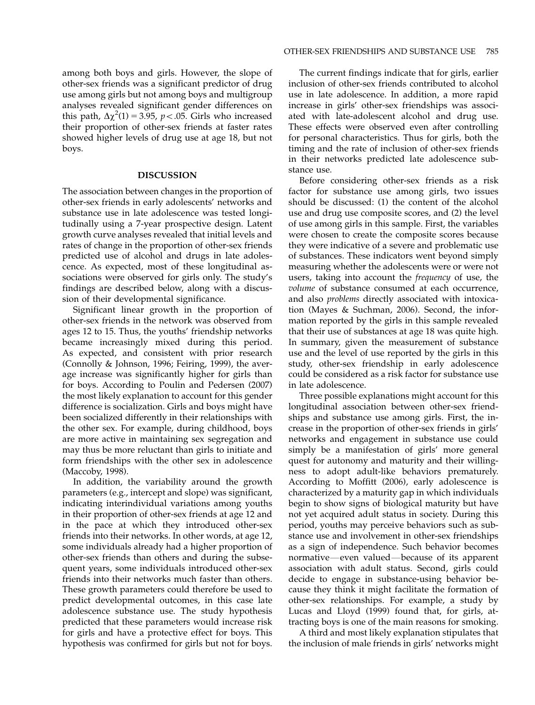among both boys and girls. However, the slope of other-sex friends was a significant predictor of drug use among girls but not among boys and multigroup analyses revealed significant gender differences on this path,  $\Delta \chi^2(1) = 3.95$ ,  $p < .05$ . Girls who increased their proportion of other-sex friends at faster rates showed higher levels of drug use at age 18, but not boys.

## DISCUSSION

The association between changes in the proportion of other-sex friends in early adolescents' networks and substance use in late adolescence was tested longitudinally using a 7-year prospective design. Latent growth curve analyses revealed that initial levels and rates of change in the proportion of other-sex friends predicted use of alcohol and drugs in late adolescence. As expected, most of these longitudinal associations were observed for girls only. The study's findings are described below, along with a discussion of their developmental significance.

Significant linear growth in the proportion of other-sex friends in the network was observed from ages 12 to 15. Thus, the youths' friendship networks became increasingly mixed during this period. As expected, and consistent with prior research (Connolly & Johnson, 1996; Feiring, 1999), the average increase was significantly higher for girls than for boys. According to Poulin and Pedersen (2007) the most likely explanation to account for this gender difference is socialization. Girls and boys might have been socialized differently in their relationships with the other sex. For example, during childhood, boys are more active in maintaining sex segregation and may thus be more reluctant than girls to initiate and form friendships with the other sex in adolescence (Maccoby, 1998).

In addition, the variability around the growth parameters (e.g., intercept and slope) was significant, indicating interindividual variations among youths in their proportion of other-sex friends at age 12 and in the pace at which they introduced other-sex friends into their networks. In other words, at age 12, some individuals already had a higher proportion of other-sex friends than others and during the subsequent years, some individuals introduced other-sex friends into their networks much faster than others. These growth parameters could therefore be used to predict developmental outcomes, in this case late adolescence substance use. The study hypothesis predicted that these parameters would increase risk for girls and have a protective effect for boys. This hypothesis was confirmed for girls but not for boys.

The current findings indicate that for girls, earlier inclusion of other-sex friends contributed to alcohol use in late adolescence. In addition, a more rapid increase in girls' other-sex friendships was associated with late-adolescent alcohol and drug use. These effects were observed even after controlling for personal characteristics. Thus for girls, both the timing and the rate of inclusion of other-sex friends in their networks predicted late adolescence substance use.

Before considering other-sex friends as a risk factor for substance use among girls, two issues should be discussed: (1) the content of the alcohol use and drug use composite scores, and (2) the level of use among girls in this sample. First, the variables were chosen to create the composite scores because they were indicative of a severe and problematic use of substances. These indicators went beyond simply measuring whether the adolescents were or were not users, taking into account the *frequency* of use, the volume of substance consumed at each occurrence, and also *problems* directly associated with intoxication (Mayes & Suchman, 2006). Second, the information reported by the girls in this sample revealed that their use of substances at age 18 was quite high. In summary, given the measurement of substance use and the level of use reported by the girls in this study, other-sex friendship in early adolescence could be considered as a risk factor for substance use in late adolescence.

Three possible explanations might account for this longitudinal association between other-sex friendships and substance use among girls. First, the increase in the proportion of other-sex friends in girls' networks and engagement in substance use could simply be a manifestation of girls' more general quest for autonomy and maturity and their willingness to adopt adult-like behaviors prematurely. According to Moffitt (2006), early adolescence is characterized by a maturity gap in which individuals begin to show signs of biological maturity but have not yet acquired adult status in society. During this period, youths may perceive behaviors such as substance use and involvement in other-sex friendships as a sign of independence. Such behavior becomes normative—even valued—because of its apparent association with adult status. Second, girls could decide to engage in substance-using behavior because they think it might facilitate the formation of other-sex relationships. For example, a study by Lucas and Lloyd (1999) found that, for girls, attracting boys is one of the main reasons for smoking.

A third and most likely explanation stipulates that the inclusion of male friends in girls' networks might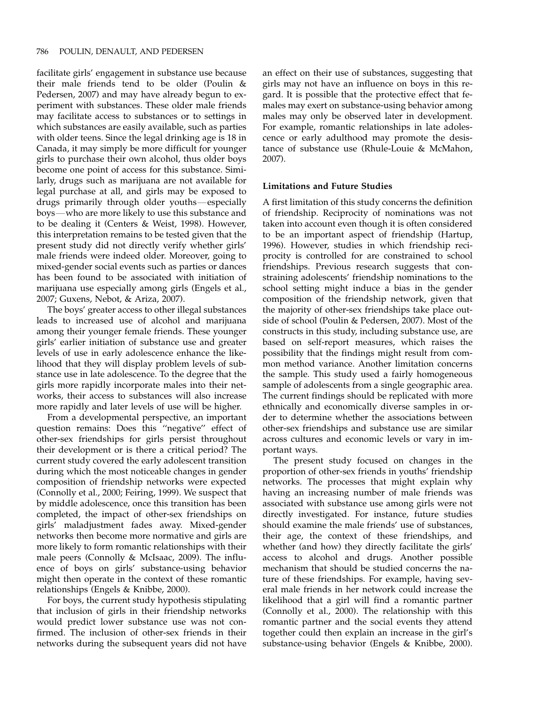facilitate girls' engagement in substance use because their male friends tend to be older (Poulin & Pedersen, 2007) and may have already begun to experiment with substances. These older male friends may facilitate access to substances or to settings in which substances are easily available, such as parties with older teens. Since the legal drinking age is 18 in Canada, it may simply be more difficult for younger girls to purchase their own alcohol, thus older boys become one point of access for this substance. Similarly, drugs such as marijuana are not available for legal purchase at all, and girls may be exposed to drugs primarily through older youths-especially boys—who are more likely to use this substance and to be dealing it (Centers & Weist, 1998). However, this interpretation remains to be tested given that the present study did not directly verify whether girls' male friends were indeed older. Moreover, going to mixed-gender social events such as parties or dances has been found to be associated with initiation of marijuana use especially among girls (Engels et al., 2007; Guxens, Nebot, & Ariza, 2007).

The boys' greater access to other illegal substances leads to increased use of alcohol and marijuana among their younger female friends. These younger girls' earlier initiation of substance use and greater levels of use in early adolescence enhance the likelihood that they will display problem levels of substance use in late adolescence. To the degree that the girls more rapidly incorporate males into their networks, their access to substances will also increase more rapidly and later levels of use will be higher.

From a developmental perspective, an important question remains: Does this ''negative'' effect of other-sex friendships for girls persist throughout their development or is there a critical period? The current study covered the early adolescent transition during which the most noticeable changes in gender composition of friendship networks were expected (Connolly et al., 2000; Feiring, 1999). We suspect that by middle adolescence, once this transition has been completed, the impact of other-sex friendships on girls' maladjustment fades away. Mixed-gender networks then become more normative and girls are more likely to form romantic relationships with their male peers (Connolly & McIsaac, 2009). The influence of boys on girls' substance-using behavior might then operate in the context of these romantic relationships (Engels & Knibbe, 2000).

For boys, the current study hypothesis stipulating that inclusion of girls in their friendship networks would predict lower substance use was not confirmed. The inclusion of other-sex friends in their networks during the subsequent years did not have an effect on their use of substances, suggesting that girls may not have an influence on boys in this regard. It is possible that the protective effect that females may exert on substance-using behavior among males may only be observed later in development. For example, romantic relationships in late adolescence or early adulthood may promote the desistance of substance use (Rhule-Louie & McMahon, 2007).

# Limitations and Future Studies

A first limitation of this study concerns the definition of friendship. Reciprocity of nominations was not taken into account even though it is often considered to be an important aspect of friendship (Hartup, 1996). However, studies in which friendship reciprocity is controlled for are constrained to school friendships. Previous research suggests that constraining adolescents' friendship nominations to the school setting might induce a bias in the gender composition of the friendship network, given that the majority of other-sex friendships take place outside of school (Poulin & Pedersen, 2007). Most of the constructs in this study, including substance use, are based on self-report measures, which raises the possibility that the findings might result from common method variance. Another limitation concerns the sample. This study used a fairly homogeneous sample of adolescents from a single geographic area. The current findings should be replicated with more ethnically and economically diverse samples in order to determine whether the associations between other-sex friendships and substance use are similar across cultures and economic levels or vary in important ways.

The present study focused on changes in the proportion of other-sex friends in youths' friendship networks. The processes that might explain why having an increasing number of male friends was associated with substance use among girls were not directly investigated. For instance, future studies should examine the male friends' use of substances, their age, the context of these friendships, and whether (and how) they directly facilitate the girls' access to alcohol and drugs. Another possible mechanism that should be studied concerns the nature of these friendships. For example, having several male friends in her network could increase the likelihood that a girl will find a romantic partner (Connolly et al., 2000). The relationship with this romantic partner and the social events they attend together could then explain an increase in the girl's substance-using behavior (Engels & Knibbe, 2000).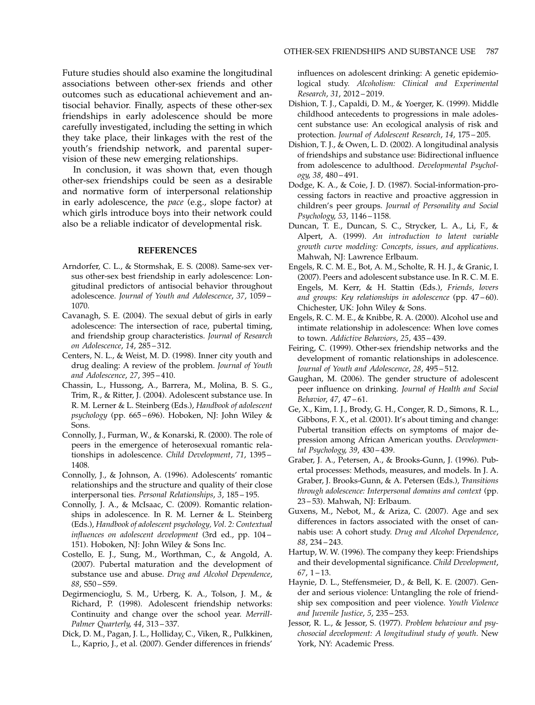Future studies should also examine the longitudinal associations between other-sex friends and other outcomes such as educational achievement and antisocial behavior. Finally, aspects of these other-sex friendships in early adolescence should be more carefully investigated, including the setting in which they take place, their linkages with the rest of the youth's friendship network, and parental supervision of these new emerging relationships.

In conclusion, it was shown that, even though other-sex friendships could be seen as a desirable and normative form of interpersonal relationship in early adolescence, the pace (e.g., slope factor) at which girls introduce boys into their network could also be a reliable indicator of developmental risk.

#### REFERENCES

- Arndorfer, C. L., & Stormshak, E. S. (2008). Same-sex versus other-sex best friendship in early adolescence: Longitudinal predictors of antisocial behavior throughout adolescence. Journal of Youth and Adolescence, 37, 1059 – 1070.
- Cavanagh, S. E. (2004). The sexual debut of girls in early adolescence: The intersection of race, pubertal timing, and friendship group characteristics. Journal of Research on Adolescence, 14, 285 – 312.
- Centers, N. L., & Weist, M. D. (1998). Inner city youth and drug dealing: A review of the problem. Journal of Youth and Adolescence, 27, 395 – 410.
- Chassin, L., Hussong, A., Barrera, M., Molina, B. S. G., Trim, R., & Ritter, J. (2004). Adolescent substance use. In R. M. Lerner & L. Steinberg (Eds.), Handbook of adolescent psychology (pp. 665 – 696). Hoboken, NJ: John Wiley & Sons.
- Connolly, J., Furman, W., & Konarski, R. (2000). The role of peers in the emergence of heterosexual romantic relationships in adolescence. Child Development, 71, 1395 – 1408.
- Connolly, J., & Johnson, A. (1996). Adolescents' romantic relationships and the structure and quality of their close interpersonal ties. Personal Relationships, 3, 185 – 195.
- Connolly, J. A., & McIsaac, C. (2009). Romantic relationships in adolescence. In R. M. Lerner & L. Steinberg (Eds.), Handbook of adolescent psychology, Vol. 2: Contextual influences on adolescent development (3rd ed., pp. 104 – 151). Hoboken, NJ: John Wiley & Sons Inc.
- Costello, E. J., Sung, M., Worthman, C., & Angold, A. (2007). Pubertal maturation and the development of substance use and abuse. Drug and Alcohol Dependence, 88, S50 – S59.
- Degirmencioglu, S. M., Urberg, K. A., Tolson, J. M., & Richard, P. (1998). Adolescent friendship networks: Continuity and change over the school year. Merrill-Palmer Quarterly, 44, 313-337.
- Dick, D. M., Pagan, J. L., Holliday, C., Viken, R., Pulkkinen, L., Kaprio, J., et al. (2007). Gender differences in friends'

influences on adolescent drinking: A genetic epidemiological study. Alcoholism: Clinical and Experimental Research, 31, 2012 – 2019.

- Dishion, T. J., Capaldi, D. M., & Yoerger, K. (1999). Middle childhood antecedents to progressions in male adolescent substance use: An ecological analysis of risk and protection. Journal of Adolescent Research, 14, 175 – 205.
- Dishion, T. J., & Owen, L. D. (2002). A longitudinal analysis of friendships and substance use: Bidirectional influence from adolescence to adulthood. Developmental Psychology, 38, 480 – 491.
- Dodge, K. A., & Coie, J. D. (1987). Social-information-processing factors in reactive and proactive aggression in children's peer groups. Journal of Personality and Social Psychology, 53, 1146 – 1158.
- Duncan, T. E., Duncan, S. C., Strycker, L. A., Li, F., & Alpert, A. (1999). An introduction to latent variable growth curve modeling: Concepts, issues, and applications. Mahwah, NJ: Lawrence Erlbaum.
- Engels, R. C. M. E., Bot, A. M., Scholte, R. H. J., & Granic, I. (2007). Peers and adolescent substance use. In R. C. M. E. Engels, M. Kerr, & H. Stattin (Eds.), Friends, lovers and groups: Key relationships in adolescence (pp.  $47-60$ ). Chichester, UK: John Wiley & Sons.
- Engels, R. C. M. E., & Knibbe, R. A. (2000). Alcohol use and intimate relationship in adolescence: When love comes to town. Addictive Behaviors, 25, 435-439.
- Feiring, C. (1999). Other-sex friendship networks and the development of romantic relationships in adolescence. Journal of Youth and Adolescence, 28, 495 – 512.
- Gaughan, M. (2006). The gender structure of adolescent peer influence on drinking. Journal of Health and Social Behavior, 47, 47 – 61.
- Ge, X., Kim, I. J., Brody, G. H., Conger, R. D., Simons, R. L., Gibbons, F. X., et al. (2001). It's about timing and change: Pubertal transition effects on symptoms of major depression among African American youths. Developmental Psychology, 39, 430 – 439.
- Graber, J. A., Petersen, A., & Brooks-Gunn, J. (1996). Pubertal processes: Methods, measures, and models. In J. A. Graber, J. Brooks-Gunn, & A. Petersen (Eds.), Transitions through adolescence: Interpersonal domains and context (pp. 23 – 53). Mahwah, NJ: Erlbaum.
- Guxens, M., Nebot, M., & Ariza, C. (2007). Age and sex differences in factors associated with the onset of cannabis use: A cohort study. Drug and Alcohol Dependence, 88, 234 – 243.
- Hartup, W. W. (1996). The company they keep: Friendships and their developmental significance. Child Development,  $67, 1 - 13.$
- Haynie, D. L., Steffensmeier, D., & Bell, K. E. (2007). Gender and serious violence: Untangling the role of friendship sex composition and peer violence. Youth Violence and Juvenile Justice, 5, 235 – 253.
- Jessor, R. L., & Jessor, S. (1977). Problem behaviour and psychosocial development: A longitudinal study of youth. New York, NY: Academic Press.